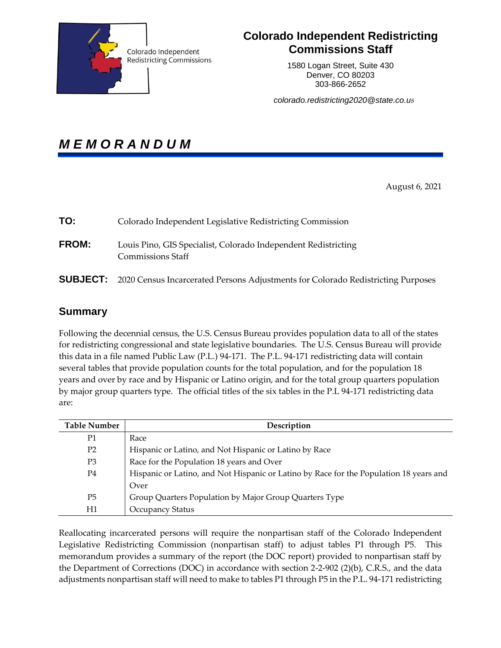

# **Colorado Independent Redistricting Commissions Staff**

1580 Logan Street, Suite 430 Denver, CO 80203 303-866-2652

*colorado.redistricting2020@state.co.us*

*M E M O R A N D U M* 

August 6, 2021

| TO:          | Colorado Independent Legislative Redistricting Commission                                        |
|--------------|--------------------------------------------------------------------------------------------------|
| <b>FROM:</b> | Louis Pino, GIS Specialist, Colorado Independent Redistricting<br><b>Commissions Staff</b>       |
|              | <b>SUBJECT:</b> 2020 Census Incarcerated Persons Adjustments for Colorado Redistricting Purposes |

# **Summary**

Following the decennial census, the U.S. Census Bureau provides population data to all of the states for redistricting congressional and state legislative boundaries. The U.S. Census Bureau will provide this data in a file named Public Law (P.L.) 94-171. The P.L. 94-171 redistricting data will contain several tables that provide population counts for the total population, and for the population 18 years and over by race and by Hispanic or Latino origin, and for the total group quarters population by major group quarters type. The official titles of the six tables in the P.L 94-171 redistricting data are:

| <b>Table Number</b> | Description                                                                            |
|---------------------|----------------------------------------------------------------------------------------|
| P1                  | Race                                                                                   |
| P <sub>2</sub>      | Hispanic or Latino, and Not Hispanic or Latino by Race                                 |
| P3                  | Race for the Population 18 years and Over                                              |
| P4                  | Hispanic or Latino, and Not Hispanic or Latino by Race for the Population 18 years and |
|                     | Over                                                                                   |
| P <sub>5</sub>      | Group Quarters Population by Major Group Quarters Type                                 |
| Η1                  | <b>Occupancy Status</b>                                                                |

Reallocating incarcerated persons will require the nonpartisan staff of the Colorado Independent Legislative Redistricting Commission (nonpartisan staff) to adjust tables P1 through P5. This memorandum provides a summary of the report (the DOC report) provided to nonpartisan staff by the Department of Corrections (DOC) in accordance with section 2-2-902 (2)(b), C.R.S., and the data adjustments nonpartisan staff will need to make to tables P1 through P5 in the P.L. 94-171 redistricting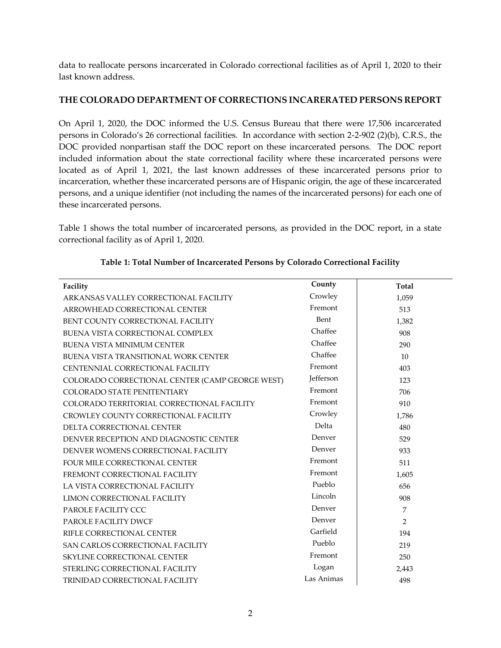data to reallocate persons incarcerated in Colorado correctional facilities as of April 1, 2020 to their last known address.

## **THE COLORADO DEPARTMENT OF CORRECTIONS INCARERATED PERSONS REPORT**

On April 1, 2020, the DOC informed the U.S. Census Bureau that there were 17,506 incarcerated persons in Colorado's 26 correctional facilities. In accordance with section 2-2-902 (2)(b), C.R.S., the DOC provided nonpartisan staff the DOC report on these incarcerated persons. The DOC report included information about the state correctional facility where these incarcerated persons were located as of April 1, 2021, the last known addresses of these incarcerated persons prior to incarceration, whether these incarcerated persons are of Hispanic origin, the age of these incarcerated persons, and a unique identifier (not including the names of the incarcerated persons) for each one of these incarcerated persons.

Table 1 shows the total number of incarcerated persons, as provided in the DOC report, in a state correctional facility as of April 1, 2020.

| Facility                                        | County     | <b>Total</b> |
|-------------------------------------------------|------------|--------------|
| ARKANSAS VALLEY CORRECTIONAL FACILITY           | Crowley    | 1,059        |
| ARROWHEAD CORRECTIONAL CENTER                   | Fremont    | 513          |
| BENT COUNTY CORRECTIONAL FACILITY               | Bent       | 1,382        |
| BUENA VISTA CORRECTIONAL COMPLEX                | Chaffee    | 908          |
| <b>BUENA VISTA MINIMUM CENTER</b>               | Chaffee    | 290          |
| BUENA VISTA TRANSITIONAL WORK CENTER            | Chaffee    | 10           |
| CENTENNIAL CORRECTIONAL FACILITY                | Fremont    | 403          |
| COLORADO CORRECTIONAL CENTER (CAMP GEORGE WEST) | Jefferson  | 123          |
| COLORADO STATE PENITENTIARY                     | Fremont    | 706          |
| COLORADO TERRITORIAL CORRECTIONAL FACILITY      | Fremont    | 910          |
| CROWLEY COUNTY CORRECTIONAL FACILITY            | Crowley    | 1,786        |
| DELTA CORRECTIONAL CENTER                       | Delta      | 480          |
| DENVER RECEPTION AND DIAGNOSTIC CENTER          | Denver     | 529          |
| DENVER WOMENS CORRECTIONAL FACILITY             | Denver     | 933          |
| FOUR MILE CORRECTIONAL CENTER                   | Fremont    | 511          |
| FREMONT CORRECTIONAL FACILITY                   | Fremont    | 1,605        |
| LA VISTA CORRECTIONAL FACILITY                  | Pueblo     | 656          |
| <b>LIMON CORRECTIONAL FACILITY</b>              | Lincoln    | 908          |
| PAROLE FACILITY CCC                             | Denver     | 7            |
| PAROLE FACILITY DWCF                            | Denver     | 2            |
| RIFLE CORRECTIONAL CENTER                       | Garfield   | 194          |
| SAN CARLOS CORRECTIONAL FACILITY                | Pueblo     | 219          |
| SKYLINE CORRECTIONAL CENTER                     | Fremont    | 250          |
| STERLING CORRECTIONAL FACILITY                  | Logan      | 2,443        |
| TRINIDAD CORRECTIONAL FACILITY                  | Las Animas | 498          |

#### **Table 1: Total Number of Incarcerated Persons by Colorado Correctional Facility**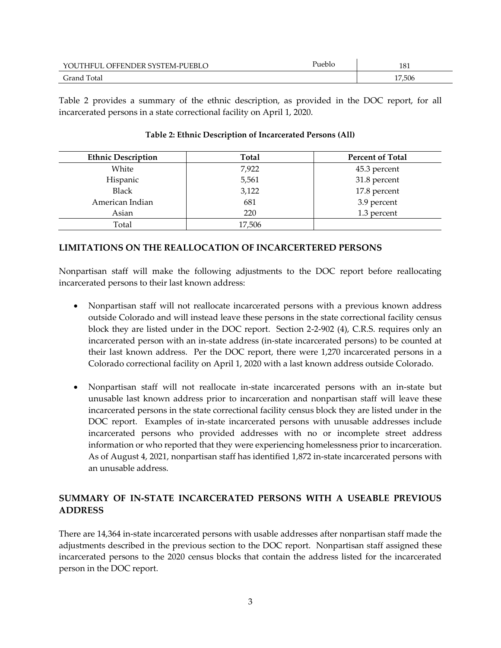| : SYSTEM-PUEBLO<br>ER G<br>JEEENL<br>п<br>. | ueblo | 181<br>____ |
|---------------------------------------------|-------|-------------|
| Grano<br>`otai<br>.                         |       | 17,506      |

Table 2 provides a summary of the ethnic description, as provided in the DOC report, for all incarcerated persons in a state correctional facility on April 1, 2020.

| <b>Ethnic Description</b> | Total  | <b>Percent of Total</b> |
|---------------------------|--------|-------------------------|
| White                     | 7,922  | 45.3 percent            |
| Hispanic                  | 5,561  | 31.8 percent            |
| <b>Black</b>              | 3,122  | 17.8 percent            |
| American Indian           | 681    | 3.9 percent             |
| Asian                     | 220    | 1.3 percent             |
| Total                     | 17,506 |                         |

#### **Table 2: Ethnic Description of Incarcerated Persons (All)**

#### **LIMITATIONS ON THE REALLOCATION OF INCARCERTERED PERSONS**

Nonpartisan staff will make the following adjustments to the DOC report before reallocating incarcerated persons to their last known address:

- Nonpartisan staff will not reallocate incarcerated persons with a previous known address outside Colorado and will instead leave these persons in the state correctional facility census block they are listed under in the DOC report. Section 2-2-902 (4), C.R.S. requires only an incarcerated person with an in-state address (in-state incarcerated persons) to be counted at their last known address. Per the DOC report, there were 1,270 incarcerated persons in a Colorado correctional facility on April 1, 2020 with a last known address outside Colorado.
- Nonpartisan staff will not reallocate in-state incarcerated persons with an in-state but unusable last known address prior to incarceration and nonpartisan staff will leave these incarcerated persons in the state correctional facility census block they are listed under in the DOC report. Examples of in-state incarcerated persons with unusable addresses include incarcerated persons who provided addresses with no or incomplete street address information or who reported that they were experiencing homelessness prior to incarceration. As of August 4, 2021, nonpartisan staff has identified 1,872 in-state incarcerated persons with an unusable address.

# **SUMMARY OF IN-STATE INCARCERATED PERSONS WITH A USEABLE PREVIOUS ADDRESS**

There are 14,364 in-state incarcerated persons with usable addresses after nonpartisan staff made the adjustments described in the previous section to the DOC report. Nonpartisan staff assigned these incarcerated persons to the 2020 census blocks that contain the address listed for the incarcerated person in the DOC report.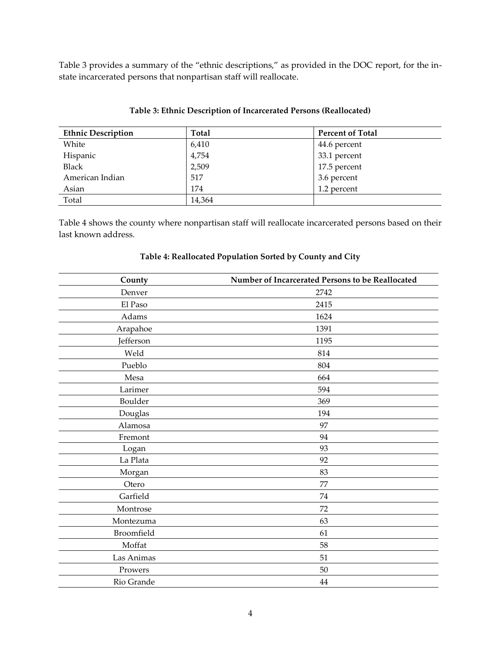Table 3 provides a summary of the "ethnic descriptions," as provided in the DOC report, for the instate incarcerated persons that nonpartisan staff will reallocate.

| <b>Ethnic Description</b> | Total  | <b>Percent of Total</b> |
|---------------------------|--------|-------------------------|
| White                     | 6,410  | 44.6 percent            |
| Hispanic                  | 4,754  | 33.1 percent            |
| <b>Black</b>              | 2,509  | 17.5 percent            |
| American Indian           | 517    | 3.6 percent             |
| Asian                     | 174    | 1.2 percent             |
| Total                     | 14,364 |                         |

#### **Table 3: Ethnic Description of Incarcerated Persons (Reallocated)**

Table 4 shows the county where nonpartisan staff will reallocate incarcerated persons based on their last known address.

| County     | Number of Incarcerated Persons to be Reallocated |
|------------|--------------------------------------------------|
| Denver     | 2742                                             |
| El Paso    | 2415                                             |
| Adams      | 1624                                             |
| Arapahoe   | 1391                                             |
| Jefferson  | 1195                                             |
| Weld       | 814                                              |
| Pueblo     | 804                                              |
| Mesa       | 664                                              |
| Larimer    | 594                                              |
| Boulder    | 369                                              |
| Douglas    | 194                                              |
| Alamosa    | 97                                               |
| Fremont    | 94                                               |
| Logan      | 93                                               |
| La Plata   | 92                                               |
| Morgan     | 83                                               |
| Otero      | 77                                               |
| Garfield   | 74                                               |
| Montrose   | 72                                               |
| Montezuma  | 63                                               |
| Broomfield | 61                                               |
| Moffat     | 58                                               |
| Las Animas | 51                                               |
| Prowers    | 50                                               |
| Rio Grande | 44                                               |

#### **Table 4: Reallocated Population Sorted by County and City**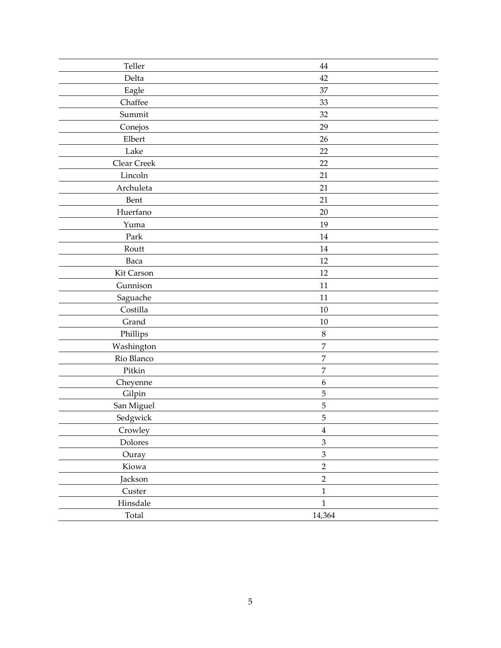| Teller      | 44               |
|-------------|------------------|
| Delta       | 42               |
| Eagle       | 37               |
| Chaffee     | 33               |
| Summit      | 32               |
| Conejos     | 29               |
| Elbert      | 26               |
| Lake        | 22               |
| Clear Creek | 22               |
| Lincoln     | 21               |
| Archuleta   | 21               |
| Bent        | 21               |
| Huerfano    | 20               |
| Yuma        | 19               |
| Park        | $14\,$           |
| Routt       | $14\,$           |
| Baca        | 12               |
| Kit Carson  | 12               |
| Gunnison    | 11               |
| Saguache    | 11               |
| Costilla    | $10\,$           |
| Grand       | $10\,$           |
| Phillips    | $\,8\,$          |
| Washington  | $\overline{7}$   |
| Rio Blanco  | $\overline{7}$   |
| Pitkin      | $\boldsymbol{7}$ |
| Cheyenne    | $\boldsymbol{6}$ |
| Gilpin      | 5                |
| San Miguel  | 5                |
| Sedgwick    | 5                |
| Crowley     | $\bf 4$          |
| Dolores     | 3                |
| Ouray       | $\overline{3}$   |
| Kiowa       | $\overline{2}$   |
| Jackson     | $\overline{2}$   |
| Custer      | $\mathbf 1$      |
| Hinsdale    | $\,1\,$          |
| Total       | 14,364           |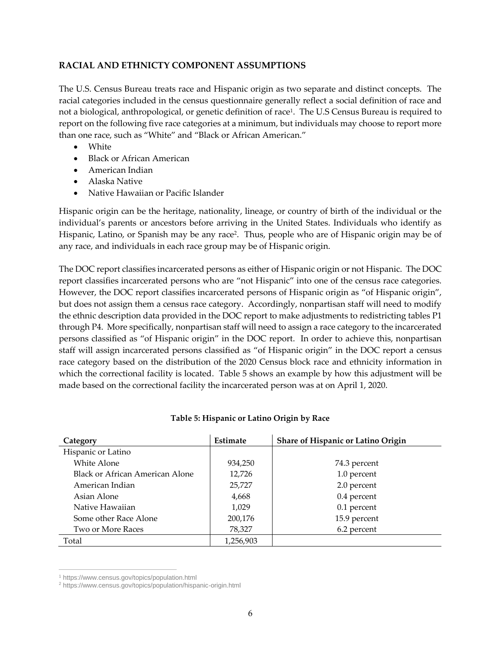## **RACIAL AND ETHNICTY COMPONENT ASSUMPTIONS**

The U.S. Census Bureau treats race and Hispanic origin as two separate and distinct concepts. The racial categories included in the census questionnaire generally reflect a social definition of race and not a biological, anthropological, or genetic definition of race<sup>1</sup> . The U.S Census Bureau is required to report on the following five race categories at a minimum, but individuals may choose to report more than one race, such as "White" and "Black or African American."

- White
- Black or African American
- American Indian
- Alaska Native
- Native Hawaiian or Pacific Islander

Hispanic origin can be the heritage, nationality, lineage, or country of birth of the individual or the individual's parents or ancestors before arriving in the United States. Individuals who identify as Hispanic, Latino, or Spanish may be any race<sup>2</sup> . Thus, people who are of Hispanic origin may be of any race, and individuals in each race group may be of Hispanic origin.

The DOC report classifies incarcerated persons as either of Hispanic origin or not Hispanic. The DOC report classifies incarcerated persons who are "not Hispanic" into one of the census race categories. However, the DOC report classifies incarcerated persons of Hispanic origin as "of Hispanic origin", but does not assign them a census race category. Accordingly, nonpartisan staff will need to modify the ethnic description data provided in the DOC report to make adjustments to redistricting tables P1 through P4. More specifically, nonpartisan staff will need to assign a race category to the incarcerated persons classified as "of Hispanic origin" in the DOC report. In order to achieve this, nonpartisan staff will assign incarcerated persons classified as "of Hispanic origin" in the DOC report a census race category based on the distribution of the 2020 Census block race and ethnicity information in which the correctional facility is located. Table 5 shows an example by how this adjustment will be made based on the correctional facility the incarcerated person was at on April 1, 2020.

| Category                        | Estimate  | Share of Hispanic or Latino Origin |
|---------------------------------|-----------|------------------------------------|
| Hispanic or Latino              |           |                                    |
| White Alone                     | 934,250   | 74.3 percent                       |
| Black or African American Alone | 12,726    | 1.0 percent                        |
| American Indian                 | 25,727    | 2.0 percent                        |
| Asian Alone                     | 4,668     | 0.4 percent                        |
| Native Hawaiian                 | 1,029     | 0.1 percent                        |
| Some other Race Alone           | 200,176   | 15.9 percent                       |
| Two or More Races               | 78,327    | 6.2 percent                        |
| Total                           | 1,256,903 |                                    |

#### **Table 5: Hispanic or Latino Origin by Race**

 $\overline{a}$ 

<sup>1</sup> https://www.census.gov/topics/population.html

<sup>2</sup> https://www.census.gov/topics/population/hispanic-origin.html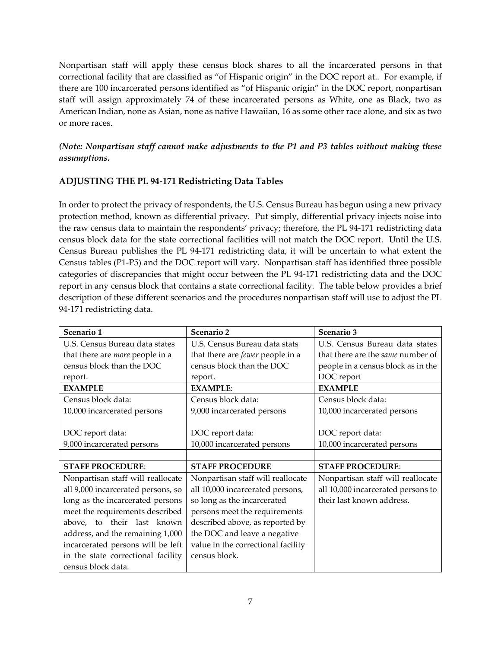Nonpartisan staff will apply these census block shares to all the incarcerated persons in that correctional facility that are classified as "of Hispanic origin" in the DOC report at.. For example, if there are 100 incarcerated persons identified as "of Hispanic origin" in the DOC report, nonpartisan staff will assign approximately 74 of these incarcerated persons as White, one as Black, two as American Indian, none as Asian, none as native Hawaiian, 16 as some other race alone, and six as two or more races.

*(Note: Nonpartisan staff cannot make adjustments to the P1 and P3 tables without making these assumptions.* 

## **ADJUSTING THE PL 94-171 Redistricting Data Tables**

In order to protect the privacy of respondents, the U.S. Census Bureau has begun using a new privacy protection method, known as differential privacy. Put simply, differential privacy injects noise into the raw census data to maintain the respondents' privacy; therefore, the PL 94-171 redistricting data census block data for the state correctional facilities will not match the DOC report. Until the U.S. Census Bureau publishes the PL 94-171 redistricting data, it will be uncertain to what extent the Census tables (P1-P5) and the DOC report will vary. Nonpartisan staff has identified three possible categories of discrepancies that might occur between the PL 94-171 redistricting data and the DOC report in any census block that contains a state correctional facility. The table below provides a brief description of these different scenarios and the procedures nonpartisan staff will use to adjust the PL 94-171 redistricting data.

| Scenario 1                             | Scenario 2                              | Scenario 3                         |
|----------------------------------------|-----------------------------------------|------------------------------------|
| U.S. Census Bureau data states         | U.S. Census Bureau data stats           | U.S. Census Bureau data states     |
| that there are <i>more</i> people in a | that there are <i>fewer</i> people in a | that there are the same number of  |
| census block than the DOC              | census block than the DOC               | people in a census block as in the |
| report.                                | report.                                 | DOC report                         |
| <b>EXAMPLE</b>                         | <b>EXAMPLE:</b>                         | <b>EXAMPLE</b>                     |
| Census block data:                     | Census block data:                      | Census block data:                 |
| 10,000 incarcerated persons            | 9,000 incarcerated persons              | 10,000 incarcerated persons        |
|                                        |                                         |                                    |
| DOC report data:                       | DOC report data:                        | DOC report data:                   |
| 9,000 incarcerated persons             | 10,000 incarcerated persons             | 10,000 incarcerated persons        |
|                                        |                                         |                                    |
| <b>STAFF PROCEDURE:</b>                | <b>STAFF PROCEDURE</b>                  | <b>STAFF PROCEDURE:</b>            |
| Nonpartisan staff will reallocate      | Nonpartisan staff will reallocate       | Nonpartisan staff will reallocate  |
| all 9,000 incarcerated persons, so     | all 10,000 incarcerated persons,        | all 10,000 incarcerated persons to |
| long as the incarcerated persons       | so long as the incarcerated             | their last known address.          |
| meet the requirements described        | persons meet the requirements           |                                    |
| above, to their last known             | described above, as reported by         |                                    |
| address, and the remaining 1,000       | the DOC and leave a negative            |                                    |
| incarcerated persons will be left      | value in the correctional facility      |                                    |
| in the state correctional facility     | census block.                           |                                    |
| census block data.                     |                                         |                                    |